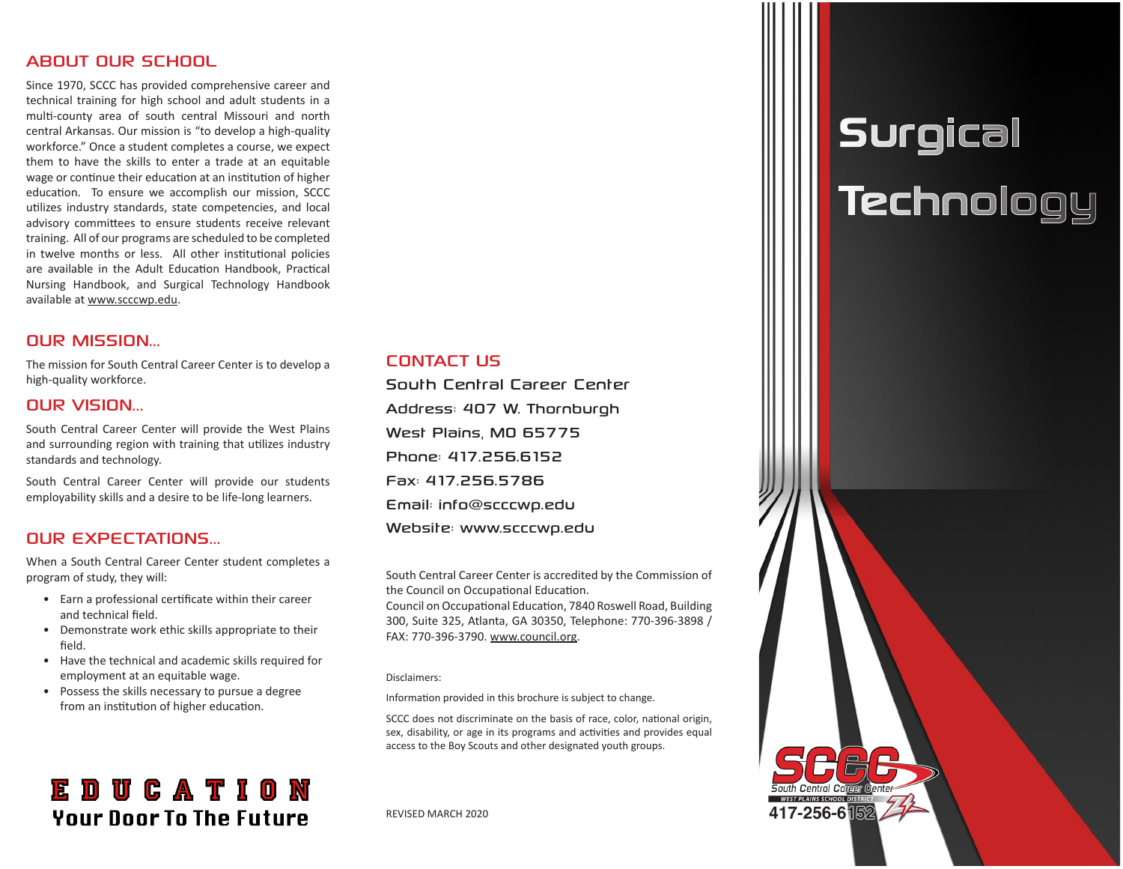#### ABOUT OUR SCHOOL

Since 1970, SCCC has provided comprehensive career and technical training for high school and adult students in a multi-county area of south central Missouri and north central Arkansas. Our mission is "to develop a high-quality workforce." Once a student completes a course, we expect them to have the skills to enter a trade at an equitable wage or continue their education at an institution of higher education. To ensure we accomplish our mission, SCCC utilizes industry standards, state competencies, and local advisory committees to ensure students receive relevant training. All of our programs are scheduled to be completed in twelve months or less. All other institutional policies are available in the Adult Education Handbook, Practical Nursing Handbook, and Surgical Technology Handbook available at www.scccwp.edu.

#### OUR MISSION...

The mission for South Central Career Center is to develop a high-quality workforce.

#### OUR VISION...

South Central Career Center will provide the West Plains and surrounding region with training that utilizes industry standards and technology.

South Central Career Center will provide our students employability skills and a desire to be life-long learners.

#### **OUR EXPECTATIONS**

When a South Central Career Center student completes a program of study, they will:

- Earn a professional certificate within their career and technical field.
- Demonstrate work ethic skills appropriate to their field.
- Have the technical and academic skills required for employment at an equitable wage.
- Possess the skills necessary to pursue a degree from an institution of higher education.

## **EDUCATION Your Door To The Future**

#### CONTACT US

South Central Career Center Address: 407 W. Thornburgh West Plains, MO 65775 Phone: 417.256.6152 Fax: 417.256.5786 Email: info@scccwp.edu Website: www.scccwp.edu

South Central Career Center is accredited by the Commission of the Council on Occupational Education.

Council on Occupational Education, 7840 Roswell Road, Building 300, Suite 325, Atlanta, GA 30350, Telephone: 770-396-3898 / FAX: 770-396-3790. www.council.org.

#### Disclaimers:

Information provided in this brochure is subject to change.

SCCC does not discriminate on the basis of race, color, national origin, sex, disability, or age in its programs and activities and provides equal access to the Boy Scouts and other designated youth groups.

#### REVISED MARCH 2020

# **Surgical Technology**

417-256-6隔2